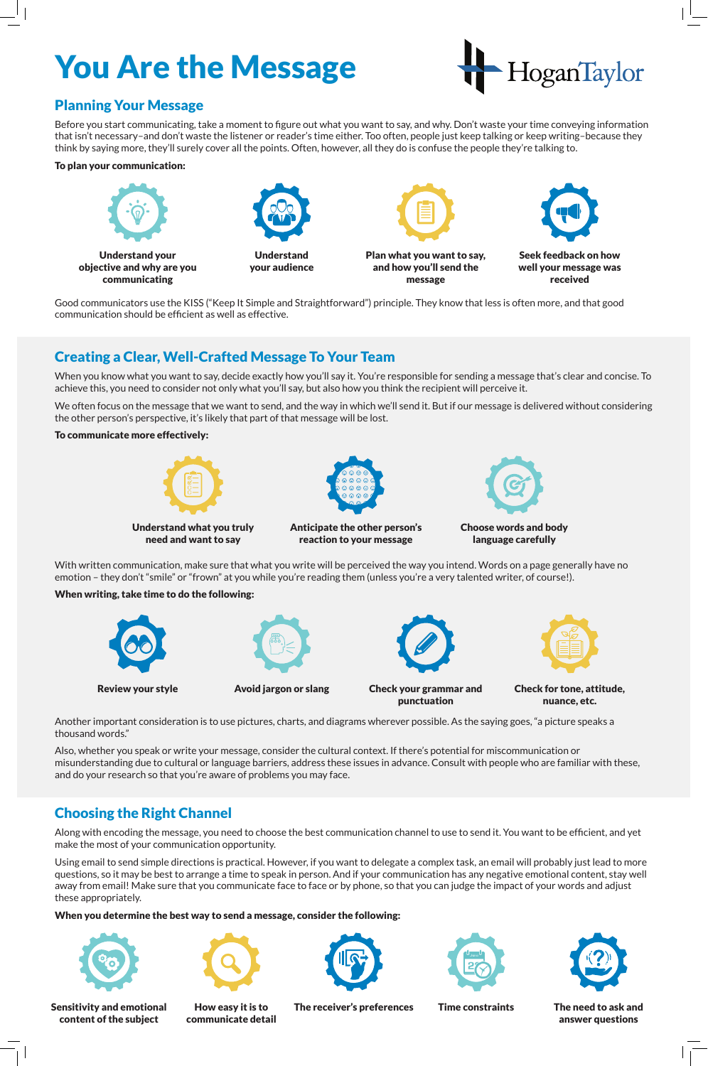# Planning Your Message

Before you start communicating, take a moment to figure out what you want to say, and why. Don't waste your time conveying information that isn't necessary–and don't waste the listener or reader's time either. Too often, people just keep talking or keep writing–because they think by saying more, they'll surely cover all the points. Often, however, all they do is confuse the people they're talking to.

#### To plan your communication:

Good communicators use the KISS ("Keep It Simple and Straightforward") principle. They know that less is often more, and that good communication should be efficient as well as effective.



# You Are the Message



# Creating a Clear, Well-Crafted Message To Your Team



Review your style **Avoid jargon or slang** Check your grammar and punctuation

When you know what you want to say, decide exactly how you'll say it. You're responsible for sending a message that's clear and concise. To achieve this, you need to consider not only what you'll say, but also how you think the recipient will perceive it.

We often focus on the message that we want to send, and the way in which we'll send it. But if our message is delivered without considering the other person's perspective, it's likely that part of that message will be lost.

#### To communicate more effectively:

With written communication, make sure that what you write will be perceived the way you intend. Words on a page generally have no emotion – they don't "smile" or "frown" at you while you're reading them (unless you're a very talented writer, of course!).

### When writing, take time to do the following:









Anticipate the other person's reaction to your message



language carefully



Check for tone, attitude, nuance, etc.

Another important consideration is to use pictures, charts, and diagrams wherever possible. As the saying goes, "a picture speaks a thousand words."

Also, whether you speak or write your message, consider the cultural context. If there's potential for miscommunication or misunderstanding due to cultural or language barriers, address these issues in advance. Consult with people who are familiar with these, and do your research so that you're aware of problems you may face.

# Choosing the Right Channel

Along with encoding the message, you need to choose the best communication channel to use to send it. You want to be efficient, and yet make the most of your communication opportunity.

Using email to send simple directions is practical. However, if you want to delegate a complex task, an email will probably just lead to more questions, so it may be best to arrange a time to speak in person. And if your communication has any negative emotional content, stay well away from email! Make sure that you communicate face to face or by phone, so that you can judge the impact of your words and adjust these appropriately.

#### When you determine the best way to send a message, consider the following:





Sensitivity and emotional content of the subject

How easy it is to communicate detail







The receiver's preferences Time constraints The need to ask and

answer questions